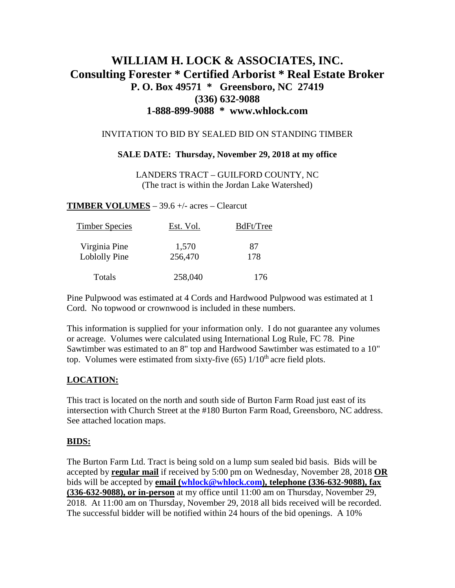# **WILLIAM H. LOCK & ASSOCIATES, INC. Consulting Forester \* Certified Arborist \* Real Estate Broker P. O. Box 49571 \* Greensboro, NC 27419 (336) 632-9088 1-888-899-9088 \* www.whlock.com**

### INVITATION TO BID BY SEALED BID ON STANDING TIMBER

#### **SALE DATE: Thursday, November 29, 2018 at my office**

LANDERS TRACT – GUILFORD COUNTY, NC (The tract is within the Jordan Lake Watershed)

**TIMBER VOLUMES** – 39.6 +/- acres – Clearcut

| <b>Timber Species</b>          | Est. Vol.        | BdFt/Tree |
|--------------------------------|------------------|-----------|
| Virginia Pine<br>Loblolly Pine | 1,570<br>256,470 | 87<br>178 |
| Totals                         | 258,040          | 176       |

Pine Pulpwood was estimated at 4 Cords and Hardwood Pulpwood was estimated at 1 Cord. No topwood or crownwood is included in these numbers.

This information is supplied for your information only. I do not guarantee any volumes or acreage. Volumes were calculated using International Log Rule, FC 78. Pine Sawtimber was estimated to an 8" top and Hardwood Sawtimber was estimated to a 10" top. Volumes were estimated from sixty-five  $(65)$  1/10<sup>th</sup> acre field plots.

## **LOCATION:**

This tract is located on the north and south side of Burton Farm Road just east of its intersection with Church Street at the #180 Burton Farm Road, Greensboro, NC address. See attached location maps.

#### **BIDS:**

The Burton Farm Ltd. Tract is being sold on a lump sum sealed bid basis. Bids will be accepted by **regular mail** if received by 5:00 pm on Wednesday, November 28, 2018 **OR** bids will be accepted by **email [\(whlock@whlock.com\)](mailto:whlock@whlock.com), telephone (336-632-9088), fax (336-632-9088), or in-person** at my office until 11:00 am on Thursday, November 29, 2018. At 11:00 am on Thursday, November 29, 2018 all bids received will be recorded. The successful bidder will be notified within 24 hours of the bid openings. A 10%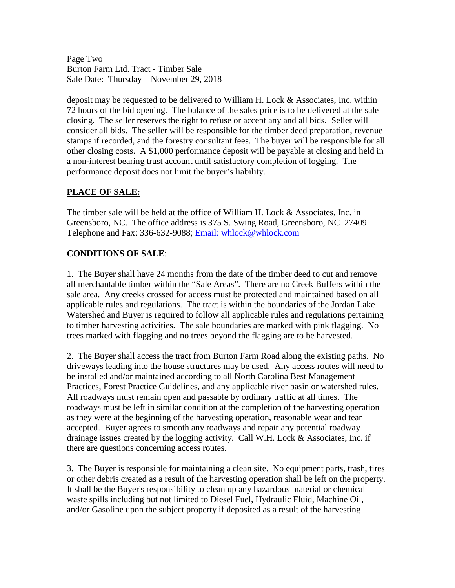Page Two Burton Farm Ltd. Tract - Timber Sale Sale Date: Thursday – November 29, 2018

deposit may be requested to be delivered to William H. Lock & Associates, Inc. within 72 hours of the bid opening. The balance of the sales price is to be delivered at the sale closing. The seller reserves the right to refuse or accept any and all bids. Seller will consider all bids. The seller will be responsible for the timber deed preparation, revenue stamps if recorded, and the forestry consultant fees. The buyer will be responsible for all other closing costs. A \$1,000 performance deposit will be payable at closing and held in a non-interest bearing trust account until satisfactory completion of logging. The performance deposit does not limit the buyer's liability.

## **PLACE OF SALE:**

The timber sale will be held at the office of William H. Lock & Associates, Inc. in Greensboro, NC. The office address is 375 S. Swing Road, Greensboro, NC 27409. Telephone and Fax: 336-632-9088; [Email: whlock@whlock.com](mailto:Email:%20whlock@whlock.com) 

## **CONDITIONS OF SALE**:

1. The Buyer shall have 24 months from the date of the timber deed to cut and remove all merchantable timber within the "Sale Areas". There are no Creek Buffers within the sale area. Any creeks crossed for access must be protected and maintained based on all applicable rules and regulations. The tract is within the boundaries of the Jordan Lake Watershed and Buyer is required to follow all applicable rules and regulations pertaining to timber harvesting activities. The sale boundaries are marked with pink flagging. No trees marked with flagging and no trees beyond the flagging are to be harvested.

2. The Buyer shall access the tract from Burton Farm Road along the existing paths. No driveways leading into the house structures may be used. Any access routes will need to be installed and/or maintained according to all North Carolina Best Management Practices, Forest Practice Guidelines, and any applicable river basin or watershed rules. All roadways must remain open and passable by ordinary traffic at all times. The roadways must be left in similar condition at the completion of the harvesting operation as they were at the beginning of the harvesting operation, reasonable wear and tear accepted. Buyer agrees to smooth any roadways and repair any potential roadway drainage issues created by the logging activity. Call W.H. Lock & Associates, Inc. if there are questions concerning access routes.

3. The Buyer is responsible for maintaining a clean site. No equipment parts, trash, tires or other debris created as a result of the harvesting operation shall be left on the property. It shall be the Buyer's responsibility to clean up any hazardous material or chemical waste spills including but not limited to Diesel Fuel, Hydraulic Fluid, Machine Oil, and/or Gasoline upon the subject property if deposited as a result of the harvesting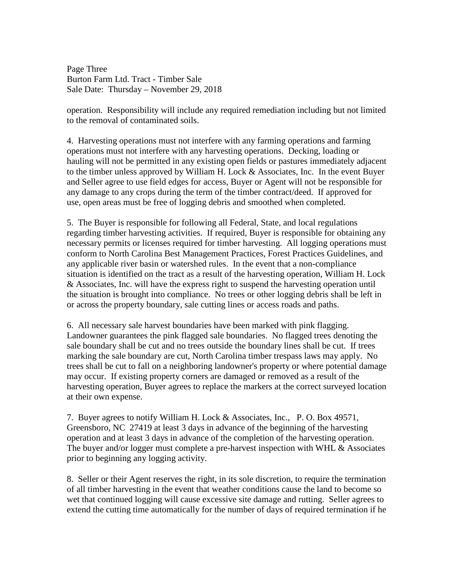Page Three Burton Farm Ltd. Tract - Timber Sale Sale Date: Thursday – November 29, 2018

operation. Responsibility will include any required remediation including but not limited to the removal of contaminated soils.

4. Harvesting operations must not interfere with any farming operations and farming operations must not interfere with any harvesting operations. Decking, loading or hauling will not be permitted in any existing open fields or pastures immediately adjacent to the timber unless approved by William H. Lock & Associates, Inc. In the event Buyer and Seller agree to use field edges for access, Buyer or Agent will not be responsible for any damage to any crops during the term of the timber contract/deed. If approved for use, open areas must be free of logging debris and smoothed when completed.

5. The Buyer is responsible for following all Federal, State, and local regulations regarding timber harvesting activities. If required, Buyer is responsible for obtaining any necessary permits or licenses required for timber harvesting. All logging operations must conform to North Carolina Best Management Practices, Forest Practices Guidelines, and any applicable river basin or watershed rules. In the event that a non-compliance situation is identified on the tract as a result of the harvesting operation, William H. Lock & Associates, Inc. will have the express right to suspend the harvesting operation until the situation is brought into compliance. No trees or other logging debris shall be left in or across the property boundary, sale cutting lines or access roads and paths.

6. All necessary sale harvest boundaries have been marked with pink flagging. Landowner guarantees the pink flagged sale boundaries. No flagged trees denoting the sale boundary shall be cut and no trees outside the boundary lines shall be cut. If trees marking the sale boundary are cut, North Carolina timber trespass laws may apply. No trees shall be cut to fall on a neighboring landowner's property or where potential damage may occur. If existing property corners are damaged or removed as a result of the harvesting operation, Buyer agrees to replace the markers at the correct surveyed location at their own expense.

7. Buyer agrees to notify William H. Lock & Associates, Inc., P. O. Box 49571, Greensboro, NC 27419 at least 3 days in advance of the beginning of the harvesting operation and at least 3 days in advance of the completion of the harvesting operation. The buyer and/or logger must complete a pre-harvest inspection with WHL & Associates prior to beginning any logging activity.

8. Seller or their Agent reserves the right, in its sole discretion, to require the termination of all timber harvesting in the event that weather conditions cause the land to become so wet that continued logging will cause excessive site damage and rutting. Seller agrees to extend the cutting time automatically for the number of days of required termination if he